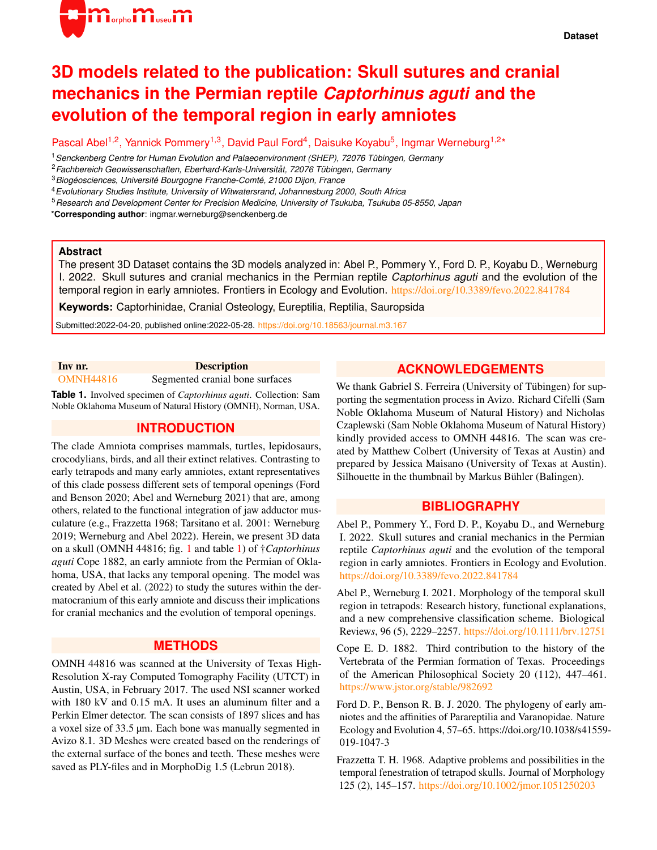

# **3D models related to the publication: Skull sutures and cranial mechanics in the Permian reptile** *Captorhinus aguti* **and the evolution of the temporal region in early amniotes**

Pascal Abel<sup>1,2</sup>, Yannick Pommery<sup>1,3</sup>, David Paul Ford<sup>4</sup>, Daisuke Koyabu<sup>5</sup>, Ingmar Werneburg<sup>1,2\*</sup>

<sup>1</sup>*Senckenberg Centre for Human Evolution and Palaeoenvironment (SHEP), 72076 Tubingen, Germany ¨*

<sup>2</sup>*Fachbereich Geowissenschaften, Eberhard-Karls-Universitat, 72076 T ¨ ubingen, Germany ¨*

<sup>3</sup>*Biogeosciences, Universit ´ e Bourgogne Franche-Comt ´ e, 21000 Dijon, France ´*

<sup>4</sup>*Evolutionary Studies Institute, University of Witwatersrand, Johannesburg 2000, South Africa*

<sup>5</sup>*Research and Development Center for Precision Medicine, University of Tsukuba, Tsukuba 05-8550, Japan*

\***Corresponding author**: ingmar.werneburg@senckenberg.de

#### **Abstract**

The present 3D Dataset contains the 3D models analyzed in: Abel P., Pommery Y., Ford D. P., Koyabu D., Werneburg I. 2022. Skull sutures and cranial mechanics in the Permian reptile *Captorhinus aguti* and the evolution of the temporal region in early amniotes. Frontiers in Ecology and Evolution. <https://doi.org/10.3389/fevo.2022.841784>

**Keywords:** Captorhinidae, Cranial Osteology, Eureptilia, Reptilia, Sauropsida

Submitted:2022-04-20, published online:2022-05-28. <https://doi.org/10.18563/journal.m3.167>

<span id="page-0-0"></span>

| Inv nr.            | <b>Description</b> |
|--------------------|--------------------|
| $0.3$ $0.77711017$ |                    |

[OMNH44816](https://doi.org/10.18563/m3.sf.965) Segmented cranial bone surfaces

**Table 1.** Involved specimen of *Captorhinus aguti*. Collection: Sam Noble Oklahoma Museum of Natural History (OMNH), Norman, USA.

### **INTRODUCTION**

The clade Amniota comprises mammals, turtles, lepidosaurs, crocodylians, birds, and all their extinct relatives. Contrasting to early tetrapods and many early amniotes, extant representatives of this clade possess different sets of temporal openings (Ford and Benson 2020; Abel and Werneburg 2021) that are, among others, related to the functional integration of jaw adductor musculature (e.g., Frazzetta 1968; Tarsitano et al. 2001: Werneburg 2019; Werneburg and Abel 2022). Herein, we present 3D data on a skull (OMNH 44816; fig. [1](#page-1-0) and table [1\)](#page-0-0) of †*Captorhinus aguti* Cope 1882, an early amniote from the Permian of Oklahoma, USA, that lacks any temporal opening. The model was created by Abel et al. (2022) to study the sutures within the dermatocranium of this early amniote and discuss their implications for cranial mechanics and the evolution of temporal openings.

#### **METHODS**

OMNH 44816 was scanned at the University of Texas High-Resolution X-ray Computed Tomography Facility (UTCT) in Austin, USA, in February 2017. The used NSI scanner worked with 180 kV and 0.15 mA. It uses an aluminum filter and a Perkin Elmer detector. The scan consists of 1897 slices and has a voxel size of 33.5 µm. Each bone was manually segmented in Avizo 8.1. 3D Meshes were created based on the renderings of the external surface of the bones and teeth. These meshes were saved as PLY-files and in MorphoDig 1.5 (Lebrun 2018).

## **ACKNOWLEDGEMENTS**

We thank Gabriel S. Ferreira (University of Tübingen) for supporting the segmentation process in Avizo. Richard Cifelli (Sam Noble Oklahoma Museum of Natural History) and Nicholas Czaplewski (Sam Noble Oklahoma Museum of Natural History) kindly provided access to OMNH 44816. The scan was created by Matthew Colbert (University of Texas at Austin) and prepared by Jessica Maisano (University of Texas at Austin). Silhouette in the thumbnail by Markus Bühler (Balingen).

### **BIBLIOGRAPHY**

Abel P., Pommery Y., Ford D. P., Koyabu D., and Werneburg I. 2022. Skull sutures and cranial mechanics in the Permian reptile *Captorhinus aguti* and the evolution of the temporal region in early amniotes. Frontiers in Ecology and Evolution. <https://doi.org/10.3389/fevo.2022.841784>

Abel P., Werneburg I. 2021. Morphology of the temporal skull region in tetrapods: Research history, functional explanations, and a new comprehensive classification scheme. Biological Review*s*, 96 (5), 2229–2257. <https://doi.org/10.1111/brv.12751>

Cope E. D. 1882. Third contribution to the history of the Vertebrata of the Permian formation of Texas. Proceedings of the American Philosophical Society 20 (112), 447–461. <https://www.jstor.org/stable/982692>

Ford D. P., Benson R. B. J. 2020. The phylogeny of early amniotes and the affinities of Parareptilia and Varanopidae. Nature Ecology and Evolution 4, 57–65. https://doi.org/10.1038/s41559- 019-1047-3

Frazzetta T. H. 1968. Adaptive problems and possibilities in the temporal fenestration of tetrapod skulls. Journal of Morphology 125 (2), 145–157. <https://doi.org/10.1002/jmor.1051250203>